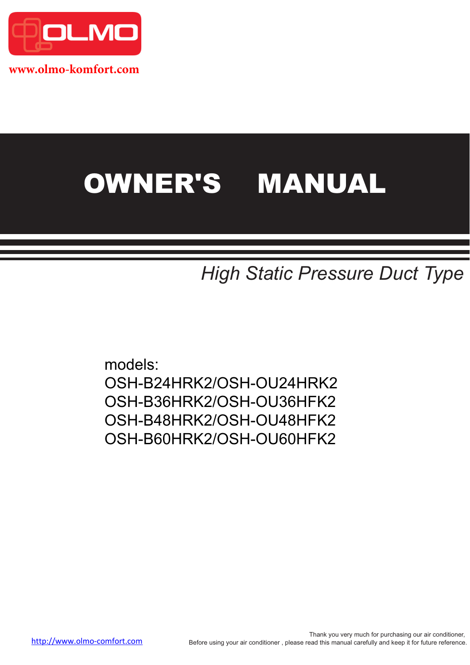

**www.olmo-komfort.com**

# OWNER'S MANUAL

*High Static Pressure Duct Type*

models: OSH-B24HRK2/OSH-OU24HRK2 OSH-B36HRK2/OSH-OU36HFK2 OSH-B48HRK2/OSH-OU48HFK2 OSH-B60HRK2/OSH-OU60HFK2

Thank you very much for purchasing our air conditioner, http://www.olmo-comfort.com Before using your air conditioner , please read this manual carefully and keep it for future reference.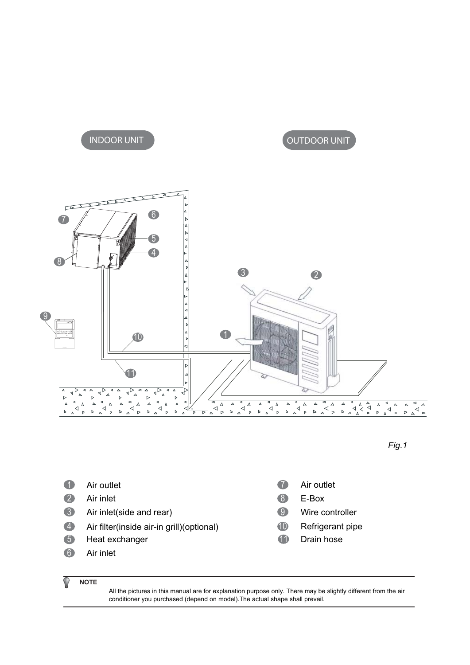## *INDOOR UNIT OUTDOOR UNIT*





- 1 Air outlet
- 2 Air inlet
- 3 Air inlet(side and rear)
- 4 Air filter(inside air-in grill)(optional) **CO** Refrigerant pipe
- 5 Heat exchanger
- 6 Air inlet
- 7 Air outlet
- 8 E-Box
- 9 Wire controller
- **10**
- **11** Drain hose

#### **NOTE** C

All the pictures in this manual are for explanation purpose only. There may be slightly different from the air conditioner you purchased (depend on model).The actual shape shall prevail.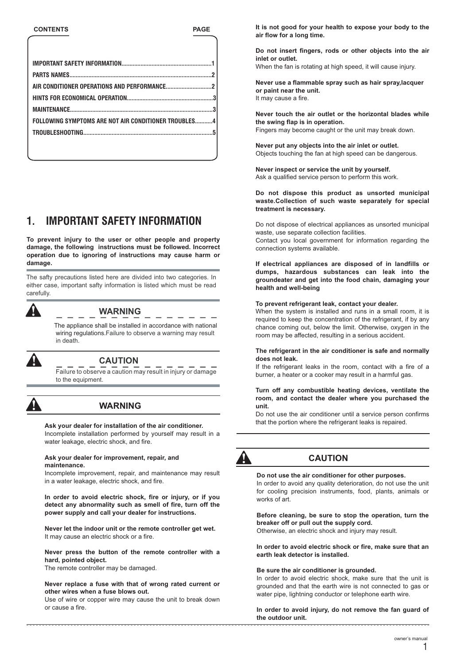| FOLLOWING SYMPTOMS ARE NOT AIR CONDITIONER TROUBLES4 |  |
|------------------------------------------------------|--|
|                                                      |  |
|                                                      |  |

## **1. IMPORTANT SAFETY INFORMATION**

**To prevent injury to the user or other people and property damage, the following instructions must be followed. Incorrect operation due to ignoring of instructions may cause harm or damage.** 

The safty precautions listed here are divided into two categories. In either case, important safty information is listed which must be read carefully.



## **WARNING**

in death. The appliance shall be installed in accordance with national wiring regulations.Failure to observe a warning may result



## **CAUTION**

Failure to observe a caution may result in injury or damage to the equipment.



#### **WARNING**

**Ask your dealer for installation of the air conditioner.** 

Incomplete installation performed by yourself may result in a water leakage, electric shock, and fire.

#### **Ask your dealer for improvement, repair, and maintenance.**

Incomplete improvement, repair, and maintenance may result in a water leakage, electric shock, and fire.

**In order to avoid electric shock, fire or injury, or if you detect any abnormality such as smell of fire, turn off the power supply and call your dealer for instructions.**

**Never let the indoor unit or the remote controller get wet.** It may cause an electric shock or a fire.

**Never press the button of the remote controller with a hard, pointed object.**

The remote controller may be damaged.

**Never replace a fuse with that of wrong rated current or other wires when a fuse blows out.** 

Use of wire or copper wire may cause the unit to break down or cause a fire.

**It is not good for your health to expose your body to the air flow for a long time.**

**Do not insert fingers, rods or other objects into the air inlet or outlet.** When the fan is rotating at high speed, it will cause injury.

**Never use a flammable spray such as hair spray,lacquer or paint near the unit.** It may cause a fire.

**Never touch the air outlet or the horizontal blades while the swing flap is in operation.**  Fingers may become caught or the unit may break down.

**Never put any objects into the air inlet or outlet.** Objects touching the fan at high speed can be dangerous.

**Never inspect or service the unit by yourself.** Ask a qualified service person to perform this work.

**Do not dispose this product as unsorted municipal waste.Collection of such waste separately for special treatment is necessary.**

Do not dispose of electrical appliances as unsorted municipal waste, use separate collection facilities.

Contact you local government for information regarding the connection systems available.

**If electrical appliances are disposed of in landfills or dumps, hazardous substances can leak into the groundeater and get into the food chain, damaging your health and well-being**

#### **To prevent refrigerant leak, contact your dealer.**

When the system is installed and runs in a small room, it is required to keep the concentration of the refrigerant, if by any chance coming out, below the limit. Otherwise, oxygen in the room may be affected, resulting in a serious accident.

#### **The refrigerant in the air conditioner is safe and normally does not leak.**

If the refrigerant leaks in the room, contact with a fire of a burner, a heater or a cooker may result in a harmful gas.

#### **Turn off any combustible heating devices, ventilate the room, and contact the dealer where you purchased the unit.**

Do not use the air conditioner until a service person confirms that the portion where the refrigerant leaks is repaired.



## **CAUTION**

#### **Do not use the air conditioner for other purposes.**

In order to avoid any quality deterioration, do not use the unit for cooling precision instruments, food, plants, animals or works of art.

**Before cleaning, be sure to stop the operation, turn the breaker off or pull out the supply cord.**  Otherwise, an electric shock and injury may result.

**In order to avoid electric shock or fire, make sure that an earth leak detector is installed.**

#### **Be sure the air conditioner is grounded.**

In order to avoid electric shock, make sure that the unit is grounded and that the earth wire is not connected to gas or water pipe, lightning conductor or telephone earth wire.

**In order to avoid injury, do not remove the fan guard of the outdoor unit.**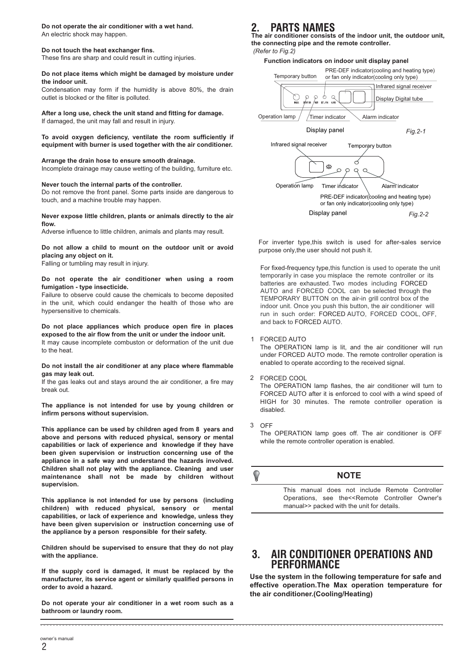#### **Do not operate the air conditioner with a wet hand.**

An electric shock may happen.

#### **Do not touch the heat exchanger fins.**

These fins are sharp and could result in cutting injuries.

#### **Do not place items which might be damaged by moisture under the indoor unit.**

Condensation may form if the humidity is above 80%, the drain outlet is blocked or the filter is polluted.

#### **After a long use, check the unit stand and fitting for damage.**

If damaged, the unit may fall and result in injury.

#### **To avoid oxygen deficiency, ventilate the room sufficiently if equipment with burner is used together with the air conditioner.**

#### **Arrange the drain hose to ensure smooth drainage.**

Incomplete drainage may cause wetting of the building, furniture etc.

#### **Never touch the internal parts of the controller.**

Do not remove the front panel. Some parts inside are dangerous to touch, and a machine trouble may happen.

#### **Never expose little children, plants or animals directly to the air flow.**

Adverse influence to little children, animals and plants may result.

#### **Do not allow a child to mount on the outdoor unit or avoid placing any object on it.**

Falling or tumbling may result in injury.

#### **Do not operate the air conditioner when using a room fumigation - type insecticide.**

Failure to observe could cause the chemicals to become deposited in the unit, which could endanger the health of those who are hypersensitive to chemicals.

#### **Do not place appliances which produce open fire in places exposed to the air flow from the unit or under the indoor unit.** It may cause incomplete combuston or deformation of the unit due

to the heat.

#### **Do not install the air conditioner at any place where flammable gas may leak out.**

If the gas leaks out and stays around the air conditioner, a fire may break out.

**The appliance is not intended for use by young children or infirm persons without supervision.**

**This appliance can be used by children aged from 8 years and above and persons with reduced physical, sensory or mental capabilities or lack of experience and knowledge if they have been given supervision or instruction concerning use of the appliance in a safe way and understand the hazards involved. Children shall not play with the appliance. Cleaning and user maintenance shall not be made by children without supervision.**

**This appliance is not intended for use by persons (including children) with reduced physical, sensory or mental capabilities, or lack of experience and knowledge, unless they have been given supervision or instruction concerning use of the appliance by a person responsible for their safety.**

**Children should be supervised to ensure that they do not play with the appliance.** 

**If the supply cord is damaged, it must be replaced by the manufacturer, its service agent or similarly qualified persons in order to avoid a hazard.**

**Do not operate your air conditioner in a wet room such as a bathroom or laundry room.**

## **2. PARTS NAMES**

**The air conditioner consists of the indoor unit, the outdoor unit, the connecting pipe and the remote controller.**

#### **Function indicators on indoor unit display panel** PRE-DEF indicator(cooling and heating type) Temporary button or fan only indicator(cooling only type) Infrared signal receiver  $\sum_{\text{AUE}}$  $\mathbb{Q}$ Display Digital tube orixion  $\sum_{\text{UE-GB}}$ Operation lamp  $/$  / Timer indicator  $\searrow$  Alarm indicator Display panel *Fig.2-1* Infrared signal receiver Temporary button $\mathcal{C}$ ೢೆಂ  $\circ$  $\circ$  $\mathsf Q$  $\alpha$ Operation lamp Timer indicator Alarm indicator PRE-DEF indicator(cooling and heating type) or fan only indicator(cooling only type) Display panel *Fig.2-2*

For inverter type,this switch is used for after-sales service purpose only,the user should not push it.

For fixed-frequency type,this function is used to operate the unit temporarily in case you misplace the remote controller or its batteries are exhausted. Two modes including FORCED AUTO and FORCED COOL can be selected through the TEMPORARY BUTTON on the air-in grill control box of the indoor unit. Once you push this button, the air conditioner will run in such order: FORCED AUTO, FORCED COOL, OFF, and back to FORCED AUTO.

#### FORCED AUTO 1

The OPERATION lamp is lit, and the air conditioner will run under FORCED AUTO mode. The remote controller operation is enabled to operate according to the received signal.

#### FORCED COOL 2

The OPERATION lamp flashes, the air conditioner will turn to FORCED AUTO after it is enforced to cool with a wind speed of HIGH for 30 minutes. The remote controller operation is disabled.

OFF 3

> The OPERATION lamp goes off. The air conditioner is OFF while the remote controller operation is enabled.

## **NOTE**

This manual does not include Remote Controller Operations, see the<<Remote Controller Owner's manual>> packed with the unit for details.

## **3. AIR CONDITIONER OPERATIONS AND PERFORMANCE**

**Use the system in the following temperature for safe and effective operation.The Max operation temperature for the air conditioner.(Cooling/Heating)**

2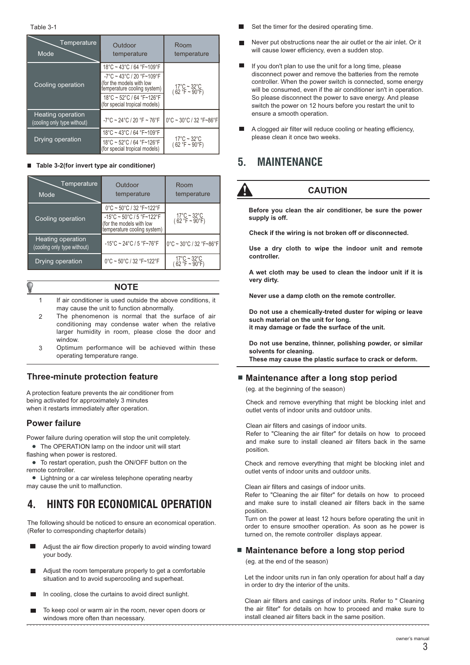| Temperature<br>Mode                              | Outdoor<br>temperature                                                                                                          | Room<br>temperature                                      |
|--------------------------------------------------|---------------------------------------------------------------------------------------------------------------------------------|----------------------------------------------------------|
|                                                  | $18^{\circ}$ C ~ 43 $^{\circ}$ C / 64 $^{\circ}$ F~109 $^{\circ}$ F                                                             |                                                          |
| Cooling operation                                | $-7^{\circ}$ C ~ 43 $^{\circ}$ C / 20 $^{\circ}$ F~109 $^{\circ}$ F<br>(for the models with low<br>(femperature cooling system) | $17^{\circ}$ C ~ 32 $^{\circ}$ C<br>$(62 °F \sim 90 °F)$ |
|                                                  | 18°C ~ 52°C / 64 °F~126°F<br>(for special tropical models)                                                                      |                                                          |
| Heating operation<br>(cooling only type without) | $-7^{\circ}$ C ~ 24 $^{\circ}$ C / 20 $^{\circ}$ F ~ 76 $^{\circ}$ F                                                            | 0°C ~ 30°C / 32 °F~86°F                                  |
|                                                  | 18°C ~ 43°C / 64 °F~109°F                                                                                                       |                                                          |
| <b>Drying operation</b>                          | 18°C ~ 52°C / 64 °F~126°F<br>(for special tropical models)                                                                      | $17^{\circ}$ C ~ 32 $^{\circ}$ C<br>$(62 °F \sim 90 °F)$ |

#### **Table 3-2(for invert type air conditioner)**

| Temperature<br>Mode                                     | Outdoor<br>temperature                                                                                                         | Room<br>temperature                                      |
|---------------------------------------------------------|--------------------------------------------------------------------------------------------------------------------------------|----------------------------------------------------------|
|                                                         |                                                                                                                                |                                                          |
|                                                         | $0^{\circ}$ C ~ 50 $^{\circ}$ C / 32 $^{\circ}$ F~122 $^{\circ}$ F                                                             |                                                          |
| Cooling operation                                       | $-15^{\circ}$ C ~ 50 $^{\circ}$ C / 5 $^{\circ}$ F~122 $^{\circ}$ F<br>(for the models with low<br>temperature cooling system) | $17^{\circ}$ C ~ 32 $^{\circ}$ C<br>$(62 °F \sim 90 °F)$ |
| <b>Heating operation</b><br>(cooling only type without) | $-15^{\circ}$ C ~ 24 $^{\circ}$ C / 5 $^{\circ}$ F~76 $^{\circ}$ F                                                             | 0°C ~ 30°C / 32 °F~86°F                                  |
| Drying operation                                        | 0°C ~ 50°C / 32 °F~122°F                                                                                                       | $17^{\circ}$ C ~ 32 $^{\circ}$ C<br>(62 °F ~ 90°F)       |

#### **NOTE**

- 1 If air conditioner is used outside the above conditions, it may cause the unit to function abnormally.
- The phenomenon is normal that the surface of air conditioning may condense water when the relative larger humidity in room, please close the door and window.  $\overline{2}$
- Optimum performance will be achieved within these operating temperature range. 3

## **Three-minute protection feature**

A protection feature prevents the air conditioner from being activated for approximately 3 minutes when it restarts immediately after operation.

## **Power failure**

Power failure during operation will stop the unit completely.

- The OPERATION lamp on the indoor unit will start flashing when power is restored.
- . remote controller. To restart operation, push the ON/OFF button on the

 Lightning or a car wireless telephone operating nearby may cause the unit to malfunction.

## **4. HINTS FOR ECONOMICAL OPERATION**

The following should be noticed to ensure an economical operation. (Refer to corresponding chapterfor details)

- Adjust the air flow direction properly to avoid winding toward your body.
- Adjust the room temperature properly to get a comfortable **Contract Contract** situation and to avoid supercooling and superheat.
- In cooling, close the curtains to avoid direct sunlight.
- To keep cool or warm air in the room, never open doors or windows more often than necessary.
- Set the timer for the desired operating time.
- Never put obstructions near the air outlet or the air inlet. Or it will cause lower efficiency, even a sudden stop.
- If you don't plan to use the unit for a long time, please disconnect power and remove the batteries from the remote controller. When the power switch is connected, some energy will be consumed, even if the air conditioner isn't in operation. So please disconnect the power to save energy. And please switch the power on 12 hours before you restart the unit to ensure a smooth operation.
- **A** clogged air filter will reduce cooling or heating efficiency, please clean it once two weeks.

## **5. MAINTENANCE**



## **CAUTION**

**Before you clean the air conditioner, be sure the power supply is off.**

**Check if the wiring is not broken off or disconnected.**

**Use a dry cloth to wipe the indoor unit and remote controller.**

**A wet cloth may be used to clean the indoor unit if it is very dirty.**

**Never use a damp cloth on the remote controller.**

**Do not use a chemically-treted duster for wiping or leave such material on the unit for long. it may damage or fade the surface of the unit.**

**Do not use benzine, thinner, polishing powder, or similar solvents for cleaning. These may cause the plastic surface to crack or deform.**

## ■ Maintenance after a long stop period

(eg. at the beginning of the season)

Check and remove everything that might be blocking inlet and outlet vents of indoor units and outdoor units.

Clean air filters and casings of indoor units.

Refer to "Cleaning the air filter" for details on how to proceed and make sure to install cleaned air filters back in the same position.

Check and remove everything that might be blocking inlet and outlet vents of indoor units and outdoor units.

Clean air filters and casings of indoor units.

Refer to "Cleaning the air filter" for details on how to proceed and make sure to install cleaned air filters back in the same position.

Turn on the power at least 12 hours before operating the unit in order to ensure smoother operation. As soon as he power is turned on, the remote controller displays appear.

## ■ Maintenance before a long stop period

(eg. at the end of the season)

Let the indoor units run in fan only operation for about half a day in order to dry the interior of the units.

Clean air filters and casings of indoor units. Refer to " Cleaning the air filter" for details on how to proceed and make sure to install cleaned air filters back in the same position.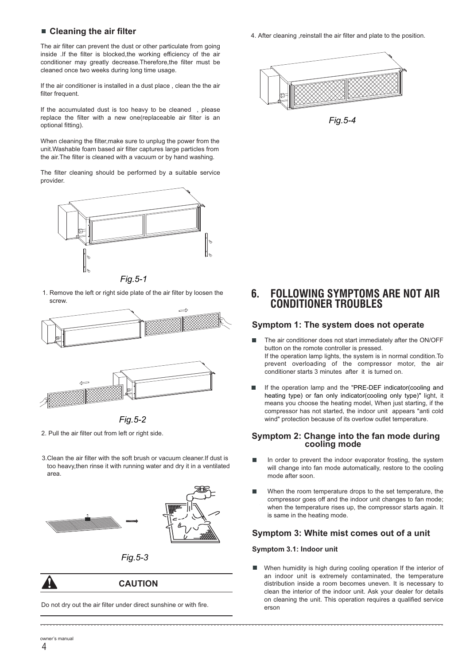The air filter can prevent the dust or other particulate from going inside .If the filter is blocked,the working efficiency of the air conditioner may greatly decrease.Therefore,the filter must be cleaned once two weeks during long time usage.

If the air conditioner is installed in a dust place , clean the the air filter frequent

If the accumulated dust is too heavy to be cleaned , please replace the filter with a new one(replaceable air filter is an optional fitting).

When cleaning the filter,make sure to unplug the power from the unit.Washable foam based air filter captures large particles from the air.The filter is cleaned with a vacuum or by hand washing.

The filter cleaning should be performed by a suitable service provider.



*Fig.5-1* 1. Remove the left or right side plate of the air filter by loosen the screw.





*Fig.5-2* 2. Pull the air filter out from left or right side.

3.Clean the air filter with the soft brush or vacuum cleaner.If dust is too heavy,then rinse it with running water and dry it in a ventilated area.





*Fig.5-3*

**CAUTION**

Do not dry out the air filter under direct sunshine or with fire.

**Cleaning the air filter 19.19 Cleaning the air filter 4.** After cleaning , reinstall the air filter and plate to the position.



*Fig.5-4*

**6. FOLLOWING SYMPTOMS ARE NOT AIR CONDITIONER TROUBLES**

#### **Symptom 1: The system does not operate**

- The air conditioner does not start immediately after the ON/OFF  $\blacksquare$ button on the romote controller is pressed. If the operation lamp lights, the system is in normal condition.To prevent overloading of the compressor motor, the air conditioner starts 3 minutes after it is turned on.
- If the operation lamp and the "PRE-DEF indicator(cooling and heating type) or fan only indicator(cooling only type)" light, it means you choose the heating model, When just starting, if the compressor has not started, the indoor unit appears "anti cold wind" protection because of its overlow outlet temperature.

#### **Symptom 2: Change into the fan mode during cooling mode**

- In order to prevent the indoor evaporator frosting, the system will change into fan mode automatically, restore to the cooling mode after soon.
- When the room temperature drops to the set temperature, the compressor goes off and the indoor unit changes to fan mode; when the temperature rises up, the compressor starts again. It is same in the heating mode.

#### **Symptom 3: White mist comes out of a unit**

#### **Symptom 3.1: Indoor unit**

When humidity is high during cooling operation If the interior of  $\blacksquare$ an indoor unit is extremely contaminated, the temperature distribution inside a room becomes uneven. It is necessary to clean the interior of the indoor unit. Ask your dealer for details on cleaning the unit. This operation requires a qualified service erson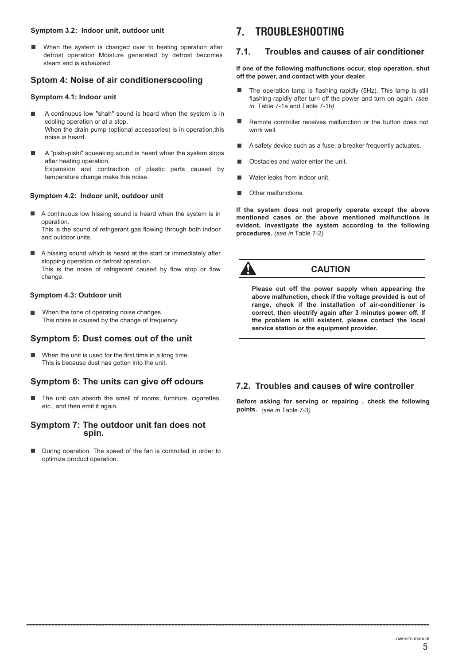#### **Symptom 3.2: Indoor unit, outdoor unit**

When the system is changed over to heating operation after defrost operation Moisture generated by defrost becomes steam and is exhausted.

### **Sptom 4: Noise of air conditionerscooling**

#### **Symptom 4.1: Indoor unit**

- A continuous low "shah" sound is heard when the system is in cooling operation or at a stop. When the drain pump (optional accessories) is in operation, this noise is heard.
- A "pishi-pishi" squeaking sound is heard when the system stops after heating operation. Expansion and contraction of plastic parts caused by temperature change make this noise.

#### **Symptom 4.2: Indoor unit, outdoor unit**

A continuous low hissing sound is heard when the system is in  $\blacksquare$ operation.

This is the sound of refrigerant gas flowing through both indoor and outdoor units.

A hissing sound which is heard at the start or immediately after stopping operation or defrost operation. This is the noise of refrigerant caused by flow stop or flow change.

#### **Symptom 4.3: Outdoor unit**

When the tone of operating noise changes. This noise is caused by the change of frequency.

## **Symptom 5: Dust comes out of the unit**

When the unit is used for the first time in a long time. This is because dust has gotten into the unit.

#### **Symptom 6: The units can give off odours**

The unit can absorb the smell of rooms, furniture, cigarettes, etc., and then emit it again.

#### **Symptom 7: The outdoor unit fan does not spin.**

During operation. The speed of the fan is controlled in order to optimize product operation.

## **7. TROUBLESHOOTING**

#### **7.1. Troubles and causes of air conditioner**

**If one of the following malfunctions occur, stop operation, shut off the power, and contact with your dealer.**

- The operation lamp is flashing rapidly (5Hz). This lamp is still flashing rapidly after turn off the power and turn on again. *(see in* Table 7-1a and Table 7-1b*)*
- × Remote controller receives malfunction or the button does not work well.
- $\blacksquare$ A safety device such as a fuse, a breaker frequently actuates.
- Obstacles and water enter the unit.
- Water leaks from indoor unit.
- Other malfunctions.  $\blacksquare$

**If the system does not properly operate except the above mentioned cases or the above mentioned malfunctions is evident, investigate the system according to the following procedures.** *(see in* Table 7-2*)*



## **CAUTION**

**Please cut off the power supply when appearing the above malfunction, check if the voltage provided is out of range, check if the installation of air-conditioner is correct, then electrify again after 3 minutes power off. If the problem is still existent, please contact the local service station or the equipment provider.**

#### **7.2. Troubles and causes of wire controller**

**Before asking for serving or repairing , check the following points.** *(see in* Table 7-3*)*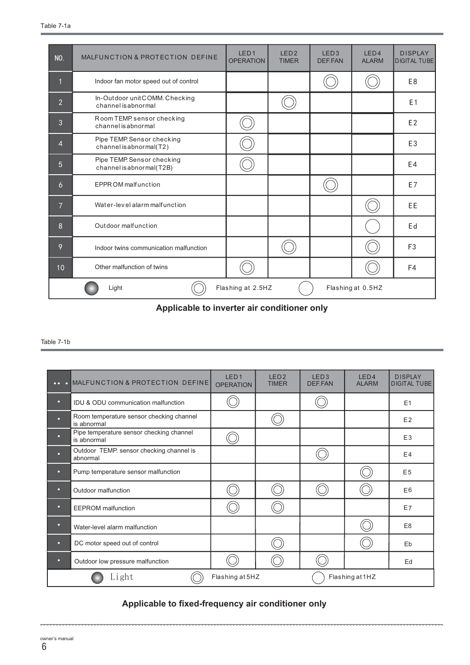| <b>NO.</b>                                      | MALFUNCTION & PROTECTION DEFINE                        | LED <sub>1</sub><br><b>OPERATION</b> | LED <sub>2</sub><br><b>TIMER</b> | LED <sub>3</sub><br>DEF.FAN | LED4<br><b>ALARM</b> | <b>DISPLAY</b><br><b>DIGITAL TUBE</b> |
|-------------------------------------------------|--------------------------------------------------------|--------------------------------------|----------------------------------|-----------------------------|----------------------|---------------------------------------|
| $\overline{1}$                                  | Indoor fan motor speed out of control                  |                                      |                                  |                             |                      | E <sub>8</sub>                        |
| $\overline{2}$                                  | In-Outdoor unitCOMM. Checking<br>channel is abnormal   |                                      |                                  |                             |                      | E <sub>1</sub>                        |
| 3                                               | Room TEMP sensor checking<br>channel is abnormal       |                                      |                                  |                             |                      | E <sub>2</sub>                        |
| $\overline{4}$                                  | Pipe TEMP. Sensor checking<br>channel is abnormal(T2)  |                                      |                                  |                             |                      | E <sub>3</sub>                        |
| 5                                               | Pipe TEMP. Sensor checking<br>channel is abnormal(T2B) |                                      |                                  |                             |                      | E4                                    |
| 6                                               | EPPR OM malfunction                                    |                                      |                                  |                             |                      | E7                                    |
| $\overline{7}$                                  | Water-level alarm malfunction                          |                                      |                                  |                             |                      | EE                                    |
| 8                                               | Outdoor malfunction                                    |                                      |                                  |                             |                      | Ed                                    |
| 9                                               | Indoor twins communication malfunction                 |                                      |                                  |                             |                      | F <sub>3</sub>                        |
| 10                                              | Other malfunction of twins                             |                                      |                                  |                             |                      | F4                                    |
| Flashing at 2.5HZ<br>Flashing at 0.5HZ<br>Light |                                                        |                                      |                                  |                             |                      |                                       |

**Applicable to inverter air conditioner only** 

#### Table 7-1b

|   | . MALFUNCTION & PROTECTION DEFINE                       | LED <sub>1</sub><br><b>OPERATION</b> | LED <sub>2</sub><br><b>TIMER</b> | LED <sub>3</sub><br>DEF.FAN | LED <sub>4</sub><br><b>ALARM</b> | <b>DISPLAY</b><br><b>DIGITAL TUBE</b> |
|---|---------------------------------------------------------|--------------------------------------|----------------------------------|-----------------------------|----------------------------------|---------------------------------------|
| ۰ | IDU & ODU communication malfunction                     |                                      |                                  |                             |                                  | E1                                    |
| ы | Room temperature sensor checking channel<br>is abnormal |                                      |                                  |                             |                                  | E2                                    |
| о | Pipe temperature sensor checking channel<br>is abnormal |                                      |                                  |                             |                                  | E <sub>3</sub>                        |
| о | Outdoor TEMP. sensor checking channel is<br>abnormal    |                                      |                                  |                             |                                  | E4                                    |
| о | Pump temperature sensor malfunction                     |                                      |                                  |                             |                                  | E <sub>5</sub>                        |
| о | Outdoor malfunction                                     |                                      |                                  |                             |                                  | E <sub>6</sub>                        |
| o | <b>EEPROM</b> malfunction                               |                                      |                                  |                             |                                  | <b>E7</b>                             |
| о | Water-level alarm malfunction                           |                                      |                                  |                             |                                  | E <sub>8</sub>                        |
| o | DC motor speed out of control                           |                                      |                                  |                             |                                  | Eb                                    |
| ۰ | Outdoor low pressure malfunction                        |                                      |                                  |                             |                                  | Ed                                    |
|   | Light                                                   | Flashing at 5HZ                      |                                  |                             | Flashing at 1HZ                  |                                       |

## **Applicable to fixed-frequency air conditioner only**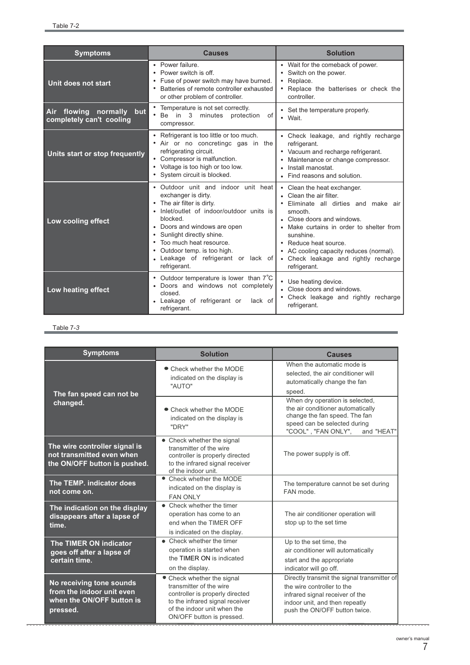| <b>Symptoms</b>                                                                                                                                                                                        | <b>Causes</b>                                                                                                                                                                                                                                                                                                                       | <b>Solution</b>                                                                                                                                                                                                                                                                                                          |  |  |
|--------------------------------------------------------------------------------------------------------------------------------------------------------------------------------------------------------|-------------------------------------------------------------------------------------------------------------------------------------------------------------------------------------------------------------------------------------------------------------------------------------------------------------------------------------|--------------------------------------------------------------------------------------------------------------------------------------------------------------------------------------------------------------------------------------------------------------------------------------------------------------------------|--|--|
| Unit does not start                                                                                                                                                                                    | • Power failure.<br>• Power switch is off.<br>• Fuse of power switch may have burned.<br>Batteries of remote controller exhausted<br>or other problem of controller.                                                                                                                                                                | • Wait for the comeback of power.<br>Switch on the power.<br>Replace.<br>Replace the batterises or check the<br>controller.                                                                                                                                                                                              |  |  |
| flowing normally but<br><b>Air</b><br>completely can't cooling                                                                                                                                         | • Temperature is not set correctly.<br>Be in 3 minutes protection<br>οf<br>compressor.                                                                                                                                                                                                                                              | • Set the temperature properly.<br>• Wait.                                                                                                                                                                                                                                                                               |  |  |
| Units start or stop frequently                                                                                                                                                                         | • Refrigerant is too little or too much.<br>Air or no concreting gas in the<br>refrigerating circuit.<br>• Compressor is malfunction.<br>• Voltage is too high or too low.<br>• System circuit is blocked.                                                                                                                          | • Check leakage, and rightly recharge<br>refrigerant.<br>• Vacuum and recharge refrigerant.<br>Maintenance or change compressor.<br>Install manostat.<br>Find reasons and solution.                                                                                                                                      |  |  |
| Low cooling effect                                                                                                                                                                                     | • Outdoor unit and indoor unit heat<br>exchanger is dirty.<br>• The air filter is dirty.<br>· Inlet/outlet of indoor/outdoor units is<br>blocked.<br>• Doors and windows are open<br>• Sunlight directly shine.<br>• Too much heat resource.<br>• Outdoor temp. is too high.<br>• Leakage of refrigerant or lack of<br>refrigerant. | • Clean the heat exchanger.<br>Clean the air filter.<br>Eliminate all dirties and make air<br>smooth.<br>• Close doors and windows.<br>• Make curtains in order to shelter from<br>sunshine.<br>• Reduce heat source.<br>• AC cooling capacity reduces (normal).<br>• Check leakage and rightly recharge<br>refrigerant. |  |  |
| • Outdoor temperature is lower than $7^\circ\text{C}$<br>• Doors and windows not completely<br>Low heating effect<br>closed.<br>· Leakage of refrigerant or<br>lack of<br>refrigerant.<br>refrigerant. |                                                                                                                                                                                                                                                                                                                                     | • Use heating device.<br>• Close doors and windows.<br>• Check leakage and rightly recharge                                                                                                                                                                                                                              |  |  |

#### Table 7-*3*

| <b>Symptoms</b>                                                                                | <b>Solution</b>                                                                                                                                                                         | <b>Causes</b>                                                                                                                                                                   |  |  |
|------------------------------------------------------------------------------------------------|-----------------------------------------------------------------------------------------------------------------------------------------------------------------------------------------|---------------------------------------------------------------------------------------------------------------------------------------------------------------------------------|--|--|
| The fan speed can not be                                                                       | • Check whether the MODE<br>indicated on the display is<br>"AUTO"                                                                                                                       | When the automatic mode is<br>selected, the air conditioner will<br>automatically change the fan<br>speed.                                                                      |  |  |
| changed.                                                                                       | • Check whether the MODE<br>indicated on the display is<br>"DRY"                                                                                                                        | When dry operation is selected,<br>the air conditioner automatically<br>change the fan speed. The fan<br>speed can be selected during<br>"COOL", "FAN ONLY",<br>and "HEAT"      |  |  |
| The wire controller signal is<br>not transmitted even when<br>the ON/OFF button is pushed.     | • Check whether the signal<br>transmitter of the wire<br>controller is properly directed<br>to the infrared signal receiver<br>of the indoor unit.                                      | The power supply is off.                                                                                                                                                        |  |  |
| The TEMP. indicator does<br>not come on.                                                       | • Check whether the MODE<br>indicated on the display is<br><b>FAN ONLY</b>                                                                                                              | The temperature cannot be set during<br>FAN mode.                                                                                                                               |  |  |
| The indication on the display<br>disappears after a lapse of<br>time.                          | • Check whether the timer<br>operation has come to an<br>end when the TIMFR OFF<br>is indicated on the display.                                                                         | The air conditioner operation will<br>stop up to the set time                                                                                                                   |  |  |
| The TIMER ON indicator<br>goes off after a lapse of<br>certain time.                           | • Check whether the timer<br>operation is started when<br>the TIMER ON is indicated<br>on the display.                                                                                  | Up to the set time, the<br>air conditioner will automatically<br>start and the appropriate<br>indicator will go off.                                                            |  |  |
| No receiving tone sounds<br>from the indoor unit even<br>when the ON/OFF button is<br>pressed. | • Check whether the signal<br>transmitter of the wire<br>controller is properly directed<br>to the infrared signal receiver<br>of the indoor unit when the<br>ON/OFF button is pressed. | Directly transmit the signal transmitter of<br>the wire controller to the<br>infrared signal receiver of the<br>indoor unit, and then repeatly<br>push the ON/OFF button twice. |  |  |